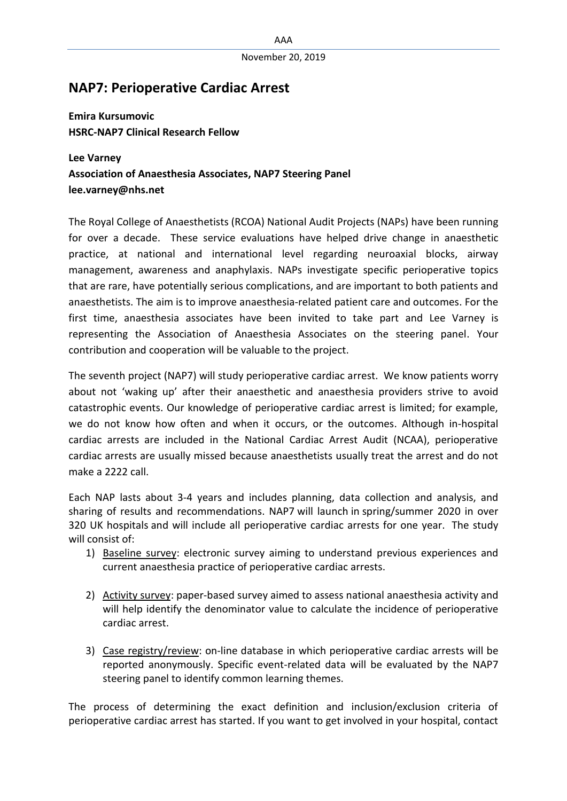## **NAP7: Perioperative Cardiac Arrest**

**Emira Kursumovic HSRC-NAP7 Clinical Research Fellow**

**Lee Varney Association of Anaesthesia Associates, NAP7 Steering Panel lee.varney@nhs.net**

The Royal College of Anaesthetists (RCOA) National Audit Projects (NAPs) have been running for over a decade. These service evaluations have helped drive change in anaesthetic practice, at national and international level regarding neuroaxial blocks, airway management, awareness and anaphylaxis. NAPs investigate specific perioperative topics that are rare, have potentially serious complications, and are important to both patients and anaesthetists. The aim is to improve anaesthesia-related patient care and outcomes. For the first time, anaesthesia associates have been invited to take part and Lee Varney is representing the Association of Anaesthesia Associates on the steering panel. Your contribution and cooperation will be valuable to the project.

The seventh project (NAP7) will study perioperative cardiac arrest. We know patients worry about not 'waking up' after their anaesthetic and anaesthesia providers strive to avoid catastrophic events. Our knowledge of perioperative cardiac arrest is limited; for example, we do not know how often and when it occurs, or the outcomes. Although in-hospital cardiac arrests are included in the National Cardiac Arrest Audit (NCAA), perioperative cardiac arrests are usually missed because anaesthetists usually treat the arrest and do not make a 2222 call.

Each NAP lasts about 3-4 years and includes planning, data collection and analysis, and sharing of results and recommendations. NAP7 will launch in spring/summer 2020 in over 320 UK hospitals and will include all perioperative cardiac arrests for one year. The study will consist of:

- 1) Baseline survey: electronic survey aiming to understand previous experiences and current anaesthesia practice of perioperative cardiac arrests.
- 2) Activity survey: paper-based survey aimed to assess national anaesthesia activity and will help identify the denominator value to calculate the incidence of perioperative cardiac arrest.
- 3) Case registry/review: on-line database in which perioperative cardiac arrests will be reported anonymously. Specific event-related data will be evaluated by the NAP7 steering panel to identify common learning themes.

The process of determining the exact definition and inclusion/exclusion criteria of perioperative cardiac arrest has started. If you want to get involved in your hospital, contact